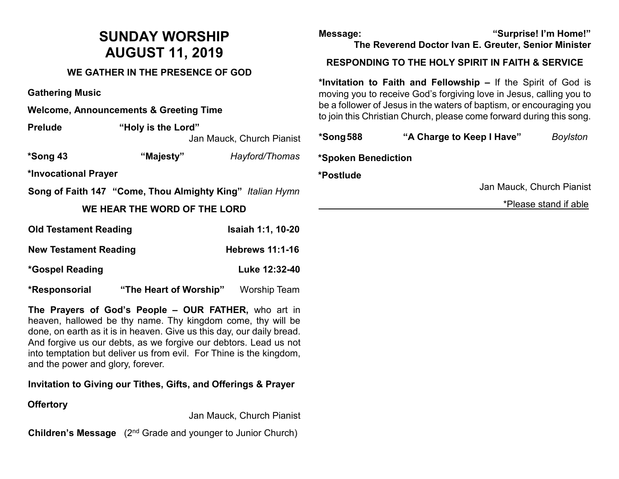# **SUNDAY WORSHIP AUGUST 11, 2019**

### **WE GATHER IN THE PRESENCE OF GOD**

**Gathering Music**

**Welcome, Announcements & Greeting Time** 

**Prelude "Holy is the Lord"**  Jan Mauck, Church Pianist

**\*Song 43 "Majesty"** *Hayford/Thomas*

**\*Invocational Prayer** 

**Song of Faith 147 "Come, Thou Almighty King"** *Italian Hymn*

### **WE HEAR THE WORD OF THE LORD**

| <b>Old Testament Reading</b> |                        | Isaiah 1:1, 10-20      |  |
|------------------------------|------------------------|------------------------|--|
| <b>New Testament Reading</b> |                        | <b>Hebrews 11:1-16</b> |  |
| *Gospel Reading              |                        | Luke 12:32-40          |  |
| *Responsorial                | "The Heart of Worship" | <b>Worship Team</b>    |  |

**The Prayers of God's People – OUR FATHER,** who art in heaven, hallowed be thy name. Thy kingdom come, thy will be done, on earth as it is in heaven. Give us this day, our daily bread. And forgive us our debts, as we forgive our debtors. Lead us not into temptation but deliver us from evil. For Thine is the kingdom, and the power and glory, forever.

**Invitation to Giving our Tithes, Gifts, and Offerings & Prayer**

## **Offertory**

Jan Mauck, Church Pianist

**Children's Message** (2<sup>nd</sup> Grade and younger to Junior Church)

**Message: "Surprise! I'm Home!" The Reverend Doctor Ivan E. Greuter, Senior Minister**

#### **RESPONDING TO THE HOLY SPIRIT IN FAITH & SERVICE**

**\*Invitation to Faith and Fellowship –** If the Spirit of God is moving you to receive God's forgiving love in Jesus, calling you to be a follower of Jesus in the waters of baptism, or encouraging you to join this Christian Church, please come forward during this song.

| *Song 588           | "A Charge to Keep I Have" |  | <b>Boylston</b>           |  |
|---------------------|---------------------------|--|---------------------------|--|
| *Spoken Benediction |                           |  |                           |  |
| *Postlude           |                           |  |                           |  |
|                     |                           |  | Jan Mauck, Church Pianist |  |
|                     |                           |  | *Please stand if able     |  |
|                     |                           |  |                           |  |
|                     |                           |  |                           |  |